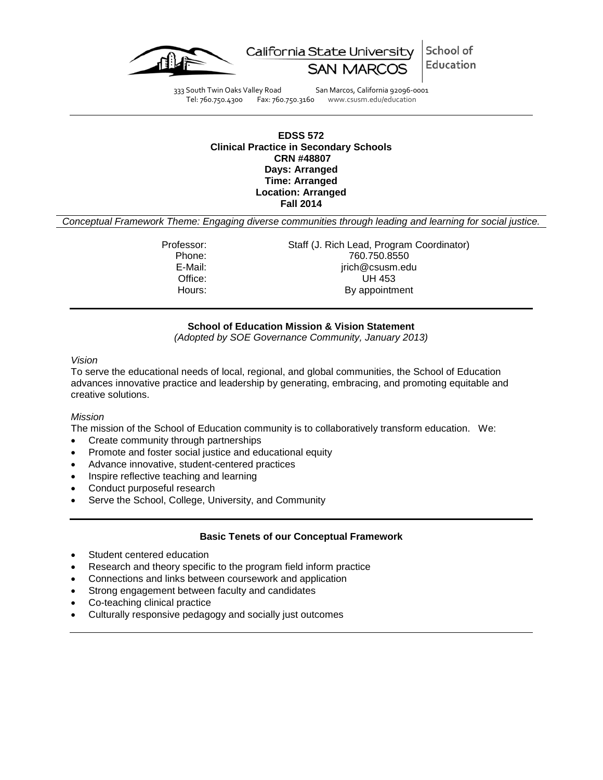

School of California State University Education

333 South Twin Oaks Valley Road San Marcos, California 92096-0001<br>Tel: 760.750.4300 Fax: 760.750.3160 www.csusm.edu/education Fax: 760.750.3160 www.csusm.edu/education

## **EDSS 572 Clinical Practice in Secondary Schools CRN #48807 Days: Arranged Time: Arranged Location: Arranged Fall 2014**

*Conceptual Framework Theme: Engaging diverse communities through leading and learning for social justice.*

Professor: Staff (J. Rich Lead, Program Coordinator) Phone: 760.750.8550 E-Mail: jrich@csusm.edu Office: UH 453<br>
Hours: By appointm By appointment

## **School of Education Mission & Vision Statement**

*(Adopted by SOE Governance Community, January 2013)*

#### *Vision*

To serve the educational needs of local, regional, and global communities, the School of Education advances innovative practice and leadership by generating, embracing, and promoting equitable and creative solutions.

## *Mission*

The mission of the School of Education community is to collaboratively transform education. We:

- Create community through partnerships
- Promote and foster social justice and educational equity
- Advance innovative, student-centered practices
- Inspire reflective teaching and learning
- Conduct purposeful research
- Serve the School, College, University, and Community

## **Basic Tenets of our Conceptual Framework**

- Student centered education
- Research and theory specific to the program field inform practice
- Connections and links between coursework and application
- Strong engagement between faculty and candidates
- Co-teaching clinical practice
- Culturally responsive pedagogy and socially just outcomes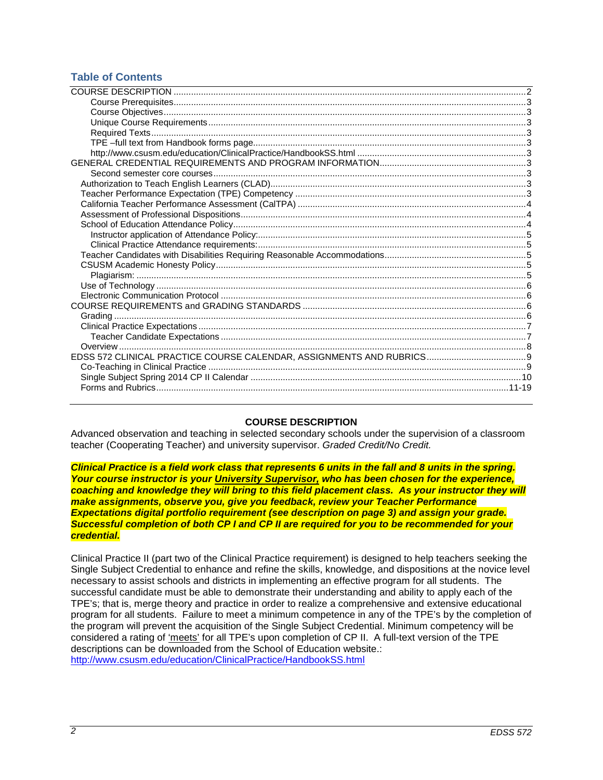## **Table of Contents**

## **COURSE DESCRIPTION**

<span id="page-1-0"></span>Advanced observation and teaching in selected secondary schools under the supervision of a classroom teacher (Cooperating Teacher) and university supervisor. *Graded Credit/No Credit.*

*Clinical Practice is a field work class that represents 6 units in the fall and 8 units in the spring. Your course instructor is your University Supervisor, who has been chosen for the experience, coaching and knowledge they will bring to this field placement class. As your instructor they will make assignments, observe you, give you feedback, review your Teacher Performance Expectations digital portfolio requirement (see description on page 3) and assign your grade. Successful completion of both CP I and CP II are required for you to be recommended for your credential.*

Clinical Practice II (part two of the Clinical Practice requirement) is designed to help teachers seeking the Single Subject Credential to enhance and refine the skills, knowledge, and dispositions at the novice level necessary to assist schools and districts in implementing an effective program for all students. The successful candidate must be able to demonstrate their understanding and ability to apply each of the TPE's; that is, merge theory and practice in order to realize a comprehensive and extensive educational program for all students. Failure to meet a minimum competence in any of the TPE's by the completion of the program will prevent the acquisition of the Single Subject Credential. Minimum competency will be considered a rating of 'meets' for all TPE's upon completion of CP II. A full-text version of the TPE descriptions can be downloaded from the School of Education website.: <http://www.csusm.edu/education/ClinicalPractice/HandbookSS.html>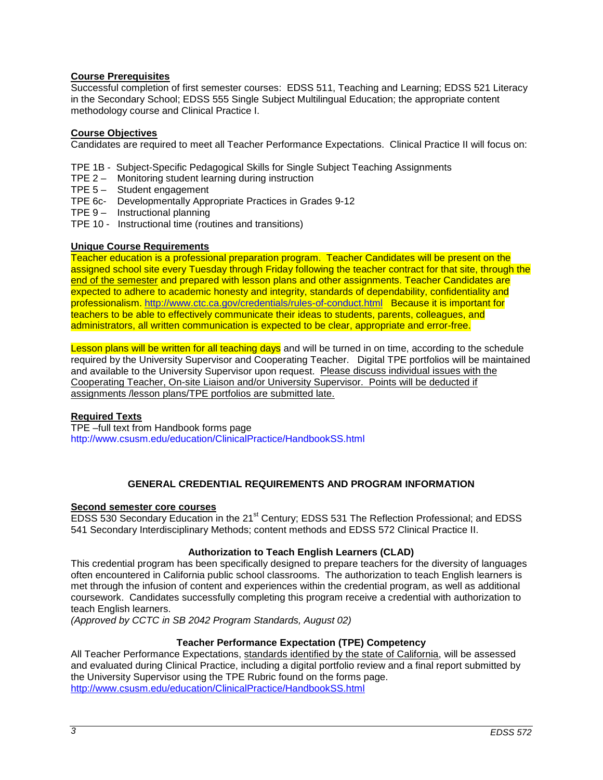## <span id="page-2-0"></span>**Course Prerequisites**

Successful completion of first semester courses: EDSS 511, Teaching and Learning; EDSS 521 Literacy in the Secondary School; EDSS 555 Single Subject Multilingual Education; the appropriate content methodology course and Clinical Practice I.

## <span id="page-2-1"></span>**Course Objectives**

Candidates are required to meet all Teacher Performance Expectations. Clinical Practice II will focus on:

TPE 1B - Subject-Specific Pedagogical Skills for Single Subject Teaching Assignments

- TPE 2 Monitoring student learning during instruction
- TPE 5 Student engagement
- TPE 6c- Developmentally Appropriate Practices in Grades 9-12
- TPE 9 Instructional planning
- TPE 10 Instructional time (routines and transitions)

## <span id="page-2-2"></span>**Unique Course Requirements**

Teacher education is a professional preparation program. Teacher Candidates will be present on the assigned school site every Tuesday through Friday following the teacher contract for that site, through the end of the semester and prepared with lesson plans and other assignments. Teacher Candidates are expected to adhere to academic honesty and integrity, standards of dependability, confidentiality and professionalism.<http://www.ctc.ca.gov/credentials/rules-of-conduct.html>Because it is important for teachers to be able to effectively communicate their ideas to students, parents, colleagues, and administrators, all written communication is expected to be clear, appropriate and error-free.

Lesson plans will be written for all teaching days and will be turned in on time, according to the schedule required by the University Supervisor and Cooperating Teacher. Digital TPE portfolios will be maintained and available to the University Supervisor upon request. Please discuss individual issues with the Cooperating Teacher, On-site Liaison and/or University Supervisor. Points will be deducted if assignments /lesson plans/TPE portfolios are submitted late.

## <span id="page-2-3"></span>**Required Texts**

<span id="page-2-5"></span><span id="page-2-4"></span>TPE –full text from Handbook forms page <http://www.csusm.edu/education/ClinicalPractice/HandbookSS.html>

## **GENERAL CREDENTIAL REQUIREMENTS AND PROGRAM INFORMATION**

## <span id="page-2-7"></span><span id="page-2-6"></span>**Second semester core courses**

EDSS 530 Secondary Education in the 21<sup>st</sup> Century; EDSS 531 The Reflection Professional; and EDSS 541 Secondary Interdisciplinary Methods; content methods and EDSS 572 Clinical Practice II.

## **Authorization to Teach English Learners (CLAD)**

<span id="page-2-8"></span>This credential program has been specifically designed to prepare teachers for the diversity of languages often encountered in California public school classrooms. The authorization to teach English learners is met through the infusion of content and experiences within the credential program, as well as additional coursework. Candidates successfully completing this program receive a credential with authorization to teach English learners.

*(Approved by CCTC in SB 2042 Program Standards, August 02)*

## **Teacher Performance Expectation (TPE) Competency**

<span id="page-2-9"></span>All Teacher Performance Expectations, standards identified by the state of California, will be assessed and evaluated during Clinical Practice, including a digital portfolio review and a final report submitted by the University Supervisor using the TPE Rubric found on the forms page. <http://www.csusm.edu/education/ClinicalPractice/HandbookSS.html>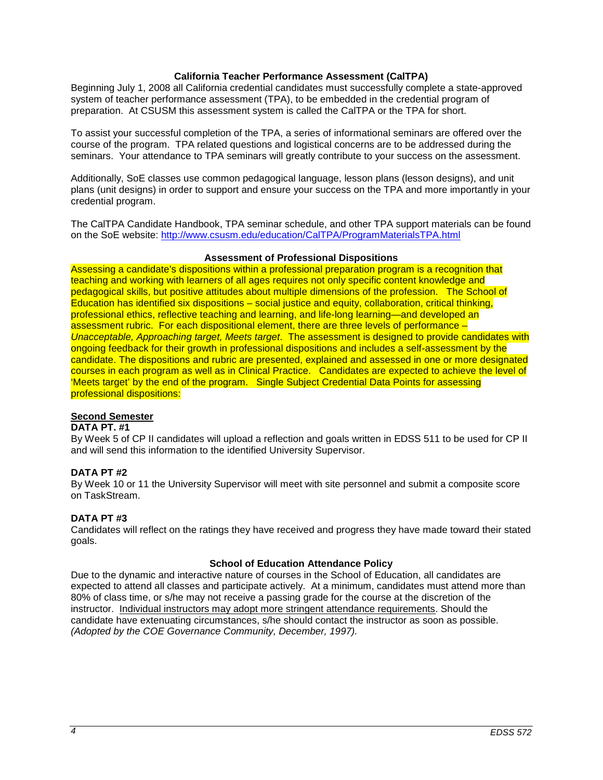## **California Teacher Performance Assessment (CalTPA)**

<span id="page-3-0"></span>Beginning July 1, 2008 all California credential candidates must successfully complete a state-approved system of teacher performance assessment (TPA), to be embedded in the credential program of preparation. At CSUSM this assessment system is called the CalTPA or the TPA for short.

To assist your successful completion of the TPA, a series of informational seminars are offered over the course of the program. TPA related questions and logistical concerns are to be addressed during the seminars. Your attendance to TPA seminars will greatly contribute to your success on the assessment.

Additionally, SoE classes use common pedagogical language, lesson plans (lesson designs), and unit plans (unit designs) in order to support and ensure your success on the TPA and more importantly in your credential program.

The CalTPA Candidate Handbook, TPA seminar schedule, and other TPA support materials can be found on the SoE website:<http://www.csusm.edu/education/CalTPA/ProgramMaterialsTPA.html>

## **Assessment of Professional Dispositions**

<span id="page-3-1"></span>Assessing a candidate's dispositions within a professional preparation program is a recognition that teaching and working with learners of all ages requires not only specific content knowledge and pedagogical skills, but positive attitudes about multiple dimensions of the profession. The School of Education has identified six dispositions – social justice and equity, collaboration, critical thinking, professional ethics, reflective teaching and learning, and life-long learning—and developed an assessment rubric. For each dispositional element, there are three levels of performance – *Unacceptable, Approaching target, Meets target*. The assessment is designed to provide candidates with ongoing feedback for their growth in professional dispositions and includes a self-assessment by the candidate. The dispositions and rubric are presented, explained and assessed in one or more designated courses in each program as well as in Clinical Practice. Candidates are expected to achieve the level of 'Meets target' by the end of the program. Single Subject Credential Data Points for assessing professional dispositions:

## **Second Semester**

## **DATA PT. #1**

By Week 5 of CP II candidates will upload a reflection and goals written in EDSS 511 to be used for CP II and will send this information to the identified University Supervisor.

## **DATA PT #2**

By Week 10 or 11 the University Supervisor will meet with site personnel and submit a composite score on TaskStream.

## **DATA PT #3**

Candidates will reflect on the ratings they have received and progress they have made toward their stated goals.

## **School of Education Attendance Policy**

<span id="page-3-3"></span><span id="page-3-2"></span>Due to the dynamic and interactive nature of courses in the School of Education, all candidates are expected to attend all classes and participate actively. At a minimum, candidates must attend more than 80% of class time, or s/he may not receive a passing grade for the course at the discretion of the instructor. Individual instructors may adopt more stringent attendance requirements. Should the candidate have extenuating circumstances, s/he should contact the instructor as soon as possible. *(Adopted by the COE Governance Community, December, 1997).*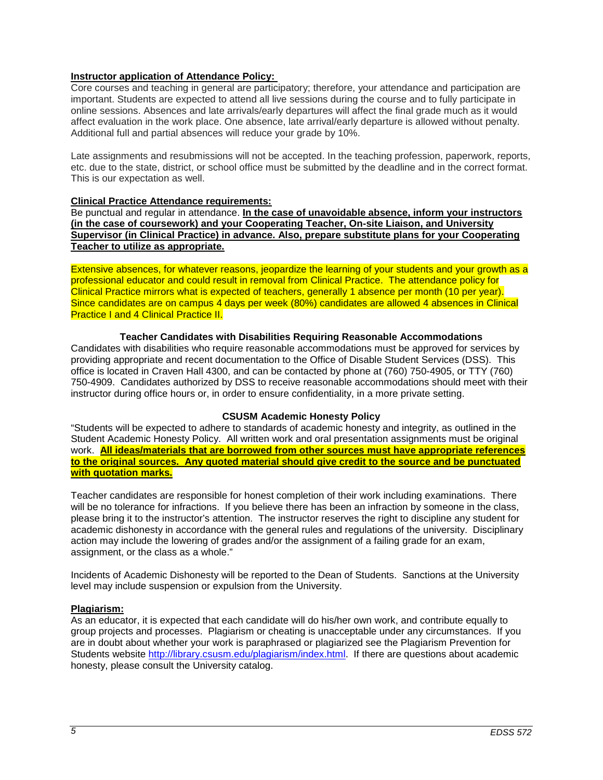## **Instructor application of Attendance Policy:**

Core courses and teaching in general are participatory; therefore, your attendance and participation are important. Students are expected to attend all live sessions during the course and to fully participate in online sessions. Absences and late arrivals/early departures will affect the final grade much as it would affect evaluation in the work place. One absence, late arrival/early departure is allowed without penalty. Additional full and partial absences will reduce your grade by 10%.

Late assignments and resubmissions will not be accepted. In the teaching profession, paperwork, reports, etc. due to the state, district, or school office must be submitted by the deadline and in the correct format. This is our expectation as well.

## <span id="page-4-0"></span>**Clinical Practice Attendance requirements:**

Be punctual and regular in attendance. **In the case of unavoidable absence, inform your instructors (in the case of coursework) and your Cooperating Teacher, On-site Liaison, and University Supervisor (in Clinical Practice) in advance. Also, prepare substitute plans for your Cooperating Teacher to utilize as appropriate.** 

Extensive absences, for whatever reasons, jeopardize the learning of your students and your growth as a professional educator and could result in removal from Clinical Practice. The attendance policy for Clinical Practice mirrors what is expected of teachers, generally 1 absence per month (10 per year). Since candidates are on campus 4 days per week (80%) candidates are allowed 4 absences in Clinical **Practice I and 4 Clinical Practice II.** 

## **Teacher Candidates with Disabilities Requiring Reasonable Accommodations**

<span id="page-4-1"></span>Candidates with disabilities who require reasonable accommodations must be approved for services by providing appropriate and recent documentation to the Office of Disable Student Services (DSS). This office is located in Craven Hall 4300, and can be contacted by phone at (760) 750-4905, or TTY (760) 750-4909. Candidates authorized by DSS to receive reasonable accommodations should meet with their instructor during office hours or, in order to ensure confidentiality, in a more private setting.

## **CSUSM Academic Honesty Policy**

<span id="page-4-2"></span>"Students will be expected to adhere to standards of academic honesty and integrity, as outlined in the Student Academic Honesty Policy. All written work and oral presentation assignments must be original work. **All ideas/materials that are borrowed from other sources must have appropriate references to the original sources. Any quoted material should give credit to the source and be punctuated with quotation marks.**

Teacher candidates are responsible for honest completion of their work including examinations. There will be no tolerance for infractions. If you believe there has been an infraction by someone in the class, please bring it to the instructor's attention. The instructor reserves the right to discipline any student for academic dishonesty in accordance with the general rules and regulations of the university. Disciplinary action may include the lowering of grades and/or the assignment of a failing grade for an exam, assignment, or the class as a whole."

Incidents of Academic Dishonesty will be reported to the Dean of Students. Sanctions at the University level may include suspension or expulsion from the University.

## <span id="page-4-3"></span>**Plagiarism:**

As an educator, it is expected that each candidate will do his/her own work, and contribute equally to group projects and processes. Plagiarism or cheating is unacceptable under any circumstances. If you are in doubt about whether your work is paraphrased or plagiarized see the Plagiarism Prevention for Students website [http://library.csusm.edu/plagiarism/index.html.](http://library.csusm.edu/plagiarism/index.html) If there are questions about academic honesty, please consult the University catalog.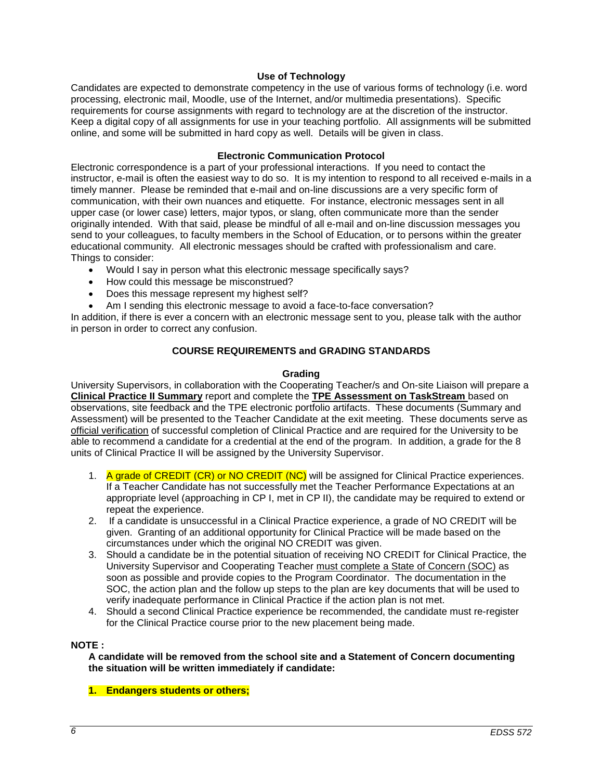## **Use of Technology**

<span id="page-5-0"></span>Candidates are expected to demonstrate competency in the use of various forms of technology (i.e. word processing, electronic mail, Moodle, use of the Internet, and/or multimedia presentations). Specific requirements for course assignments with regard to technology are at the discretion of the instructor. Keep a digital copy of all assignments for use in your teaching portfolio. All assignments will be submitted online, and some will be submitted in hard copy as well. Details will be given in class.

## **Electronic Communication Protocol**

<span id="page-5-1"></span>Electronic correspondence is a part of your professional interactions. If you need to contact the instructor, e-mail is often the easiest way to do so. It is my intention to respond to all received e-mails in a timely manner. Please be reminded that e-mail and on-line discussions are a very specific form of communication, with their own nuances and etiquette. For instance, electronic messages sent in all upper case (or lower case) letters, major typos, or slang, often communicate more than the sender originally intended. With that said, please be mindful of all e-mail and on-line discussion messages you send to your colleagues, to faculty members in the School of Education, or to persons within the greater educational community. All electronic messages should be crafted with professionalism and care. Things to consider:

- Would I say in person what this electronic message specifically says?
- How could this message be misconstrued?
- Does this message represent my highest self?
- Am I sending this electronic message to avoid a face-to-face conversation?

In addition, if there is ever a concern with an electronic message sent to you, please talk with the author in person in order to correct any confusion.

## **COURSE REQUIREMENTS and GRADING STANDARDS**

#### **Grading**

<span id="page-5-3"></span><span id="page-5-2"></span>University Supervisors, in collaboration with the Cooperating Teacher/s and On-site Liaison will prepare a **Clinical Practice II Summary** report and complete the **TPE Assessment on TaskStream** based on observations, site feedback and the TPE electronic portfolio artifacts. These documents (Summary and Assessment) will be presented to the Teacher Candidate at the exit meeting. These documents serve as official verification of successful completion of Clinical Practice and are required for the University to be able to recommend a candidate for a credential at the end of the program. In addition, a grade for the 8 units of Clinical Practice II will be assigned by the University Supervisor.

- 1. A grade of CREDIT (CR) or NO CREDIT (NC) will be assigned for Clinical Practice experiences. If a Teacher Candidate has not successfully met the Teacher Performance Expectations at an appropriate level (approaching in CP I, met in CP II), the candidate may be required to extend or repeat the experience.
- 2. If a candidate is unsuccessful in a Clinical Practice experience, a grade of NO CREDIT will be given. Granting of an additional opportunity for Clinical Practice will be made based on the circumstances under which the original NO CREDIT was given.
- 3. Should a candidate be in the potential situation of receiving NO CREDIT for Clinical Practice, the University Supervisor and Cooperating Teacher must complete a State of Concern (SOC) as soon as possible and provide copies to the Program Coordinator. The documentation in the SOC, the action plan and the follow up steps to the plan are key documents that will be used to verify inadequate performance in Clinical Practice if the action plan is not met.
- 4. Should a second Clinical Practice experience be recommended, the candidate must re-register for the Clinical Practice course prior to the new placement being made.

## **NOTE :**

**A candidate will be removed from the school site and a Statement of Concern documenting the situation will be written immediately if candidate:**

**1. Endangers students or others;**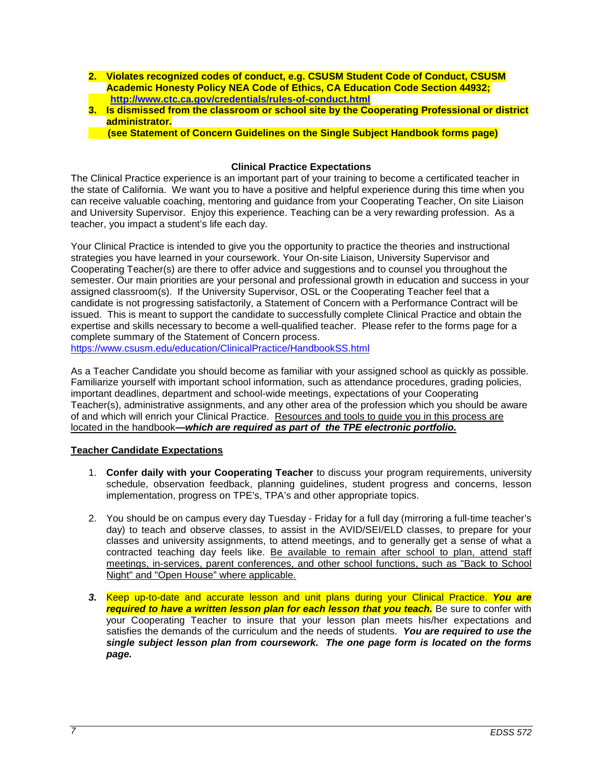- **2. Violates recognized codes of conduct, e.g. CSUSM Student Code of Conduct, CSUSM Academic Honesty Policy NEA Code of Ethics, CA Education Code Section 44932; <http://www.ctc.ca.gov/credentials/rules-of-conduct.html>**
- **3. Is dismissed from the classroom or school site by the Cooperating Professional or district administrator.**

 **(see Statement of Concern Guidelines on the Single Subject Handbook forms page)**

## **Clinical Practice Expectations**

<span id="page-6-0"></span>The Clinical Practice experience is an important part of your training to become a certificated teacher in the state of California. We want you to have a positive and helpful experience during this time when you can receive valuable coaching, mentoring and guidance from your Cooperating Teacher, On site Liaison and University Supervisor. Enjoy this experience. Teaching can be a very rewarding profession. As a teacher, you impact a student's life each day.

Your Clinical Practice is intended to give you the opportunity to practice the theories and instructional strategies you have learned in your coursework. Your On-site Liaison, University Supervisor and Cooperating Teacher(s) are there to offer advice and suggestions and to counsel you throughout the semester. Our main priorities are your personal and professional growth in education and success in your assigned classroom(s). If the University Supervisor, OSL or the Cooperating Teacher feel that a candidate is not progressing satisfactorily, a Statement of Concern with a Performance Contract will be issued. This is meant to support the candidate to successfully complete Clinical Practice and obtain the expertise and skills necessary to become a well-qualified teacher. Please refer to the forms page for a complete summary of the Statement of Concern process.

<https://www.csusm.edu/education/ClinicalPractice/HandbookSS.html>

As a Teacher Candidate you should become as familiar with your assigned school as quickly as possible. Familiarize yourself with important school information, such as attendance procedures, grading policies, important deadlines, department and school-wide meetings, expectations of your Cooperating Teacher(s), administrative assignments, and any other area of the profession which you should be aware of and which will enrich your Clinical Practice. Resources and tools to guide you in this process are located in the handbook**—***which are required as part of the TPE electronic portfolio.*

## <span id="page-6-1"></span>**Teacher Candidate Expectations**

- 1. **Confer daily with your Cooperating Teacher** to discuss your program requirements, university schedule, observation feedback, planning guidelines, student progress and concerns, lesson implementation, progress on TPE's, TPA's and other appropriate topics.
- 2. You should be on campus every day Tuesday Friday for a full day (mirroring a full-time teacher's day) to teach and observe classes, to assist in the AVID/SEI/ELD classes, to prepare for your classes and university assignments, to attend meetings, and to generally get a sense of what a contracted teaching day feels like. Be available to remain after school to plan, attend staff meetings, in-services, parent conferences, and other school functions, such as "Back to School Night" and "Open House" where applicable.
- *3.* Keep up-to-date and accurate lesson and unit plans during your Clinical Practice. *You are required to have a written lesson plan for each lesson that you teach.* Be sure to confer with your Cooperating Teacher to insure that your lesson plan meets his/her expectations and satisfies the demands of the curriculum and the needs of students. *You are required to use the single subject lesson plan from coursework. The one page form is located on the forms page.*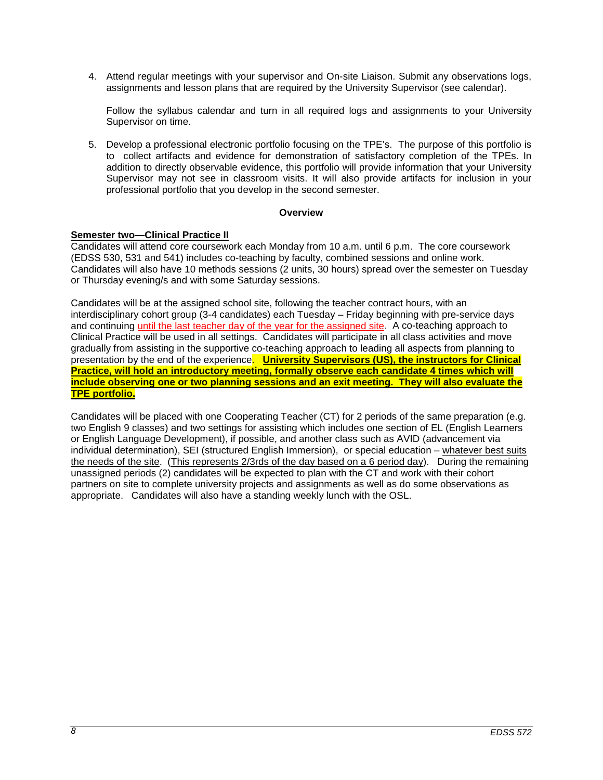4. Attend regular meetings with your supervisor and On-site Liaison. Submit any observations logs, assignments and lesson plans that are required by the University Supervisor (see calendar).

Follow the syllabus calendar and turn in all required logs and assignments to your University Supervisor on time.

5. Develop a professional electronic portfolio focusing on the TPE's. The purpose of this portfolio is to collect artifacts and evidence for demonstration of satisfactory completion of the TPEs. In addition to directly observable evidence, this portfolio will provide information that your University Supervisor may not see in classroom visits. It will also provide artifacts for inclusion in your professional portfolio that you develop in the second semester.

## **Overview**

## <span id="page-7-0"></span>**Semester two—Clinical Practice II**

Candidates will attend core coursework each Monday from 10 a.m. until 6 p.m. The core coursework (EDSS 530, 531 and 541) includes co-teaching by faculty, combined sessions and online work. Candidates will also have 10 methods sessions (2 units, 30 hours) spread over the semester on Tuesday or Thursday evening/s and with some Saturday sessions.

Candidates will be at the assigned school site, following the teacher contract hours, with an interdisciplinary cohort group (3-4 candidates) each Tuesday – Friday beginning with pre-service days and continuing until the last teacher day of the year for the assigned site. A co-teaching approach to Clinical Practice will be used in all settings. Candidates will participate in all class activities and move gradually from assisting in the supportive co-teaching approach to leading all aspects from planning to presentation by the end of the experience. **University Supervisors (US), the instructors for Clinical Practice, will hold an introductory meeting, formally observe each candidate 4 times which will include observing one or two planning sessions and an exit meeting. They will also evaluate the TPE portfolio.**

<span id="page-7-1"></span>Candidates will be placed with one Cooperating Teacher (CT) for 2 periods of the same preparation (e.g. two English 9 classes) and two settings for assisting which includes one section of EL (English Learners or English Language Development), if possible, and another class such as AVID (advancement via individual determination), SEI (structured English Immersion), or special education – whatever best suits the needs of the site. (This represents 2/3rds of the day based on a 6 period day). During the remaining unassigned periods (2) candidates will be expected to plan with the CT and work with their cohort partners on site to complete university projects and assignments as well as do some observations as appropriate. Candidates will also have a standing weekly lunch with the OSL.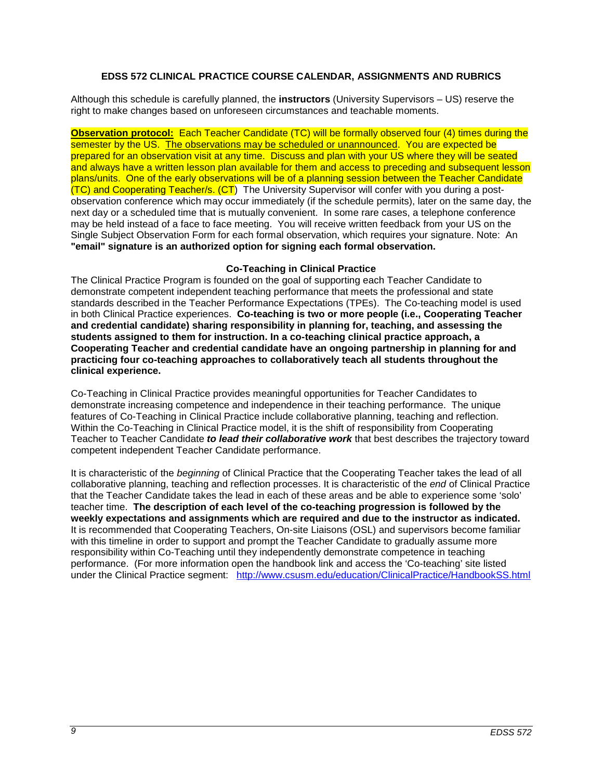## **EDSS 572 CLINICAL PRACTICE COURSE CALENDAR, ASSIGNMENTS AND RUBRICS**

Although this schedule is carefully planned, the **instructors** (University Supervisors – US) reserve the right to make changes based on unforeseen circumstances and teachable moments.

**Observation protocol:** Each Teacher Candidate (TC) will be formally observed four (4) times during the semester by the US. The observations may be scheduled or unannounced. You are expected be prepared for an observation visit at any time. Discuss and plan with your US where they will be seated and always have a written lesson plan available for them and access to preceding and subsequent lesson plans/units. One of the early observations will be of a planning session between the Teacher Candidate (TC) and Cooperating Teacher/s. (CT) The University Supervisor will confer with you during a postobservation conference which may occur immediately (if the schedule permits), later on the same day, the next day or a scheduled time that is mutually convenient. In some rare cases, a telephone conference may be held instead of a face to face meeting. You will receive written feedback from your US on the Single Subject Observation Form for each formal observation, which requires your signature. Note: An **"email" signature is an authorized option for signing each formal observation.**

## **Co-Teaching in Clinical Practice**

<span id="page-8-0"></span>The Clinical Practice Program is founded on the goal of supporting each Teacher Candidate to demonstrate competent independent teaching performance that meets the professional and state standards described in the Teacher Performance Expectations (TPEs). The Co-teaching model is used in both Clinical Practice experiences. **Co-teaching is two or more people (i.e., Cooperating Teacher and credential candidate) sharing responsibility in planning for, teaching, and assessing the students assigned to them for instruction. In a co-teaching clinical practice approach, a Cooperating Teacher and credential candidate have an ongoing partnership in planning for and practicing four co-teaching approaches to collaboratively teach all students throughout the clinical experience.** 

Co-Teaching in Clinical Practice provides meaningful opportunities for Teacher Candidates to demonstrate increasing competence and independence in their teaching performance. The unique features of Co-Teaching in Clinical Practice include collaborative planning, teaching and reflection. Within the Co-Teaching in Clinical Practice model, it is the shift of responsibility from Cooperating Teacher to Teacher Candidate *to lead their collaborative work* that best describes the trajectory toward competent independent Teacher Candidate performance.

It is characteristic of the *beginning* of Clinical Practice that the Cooperating Teacher takes the lead of all collaborative planning, teaching and reflection processes. It is characteristic of the *end* of Clinical Practice that the Teacher Candidate takes the lead in each of these areas and be able to experience some 'solo' teacher time. **The description of each level of the co-teaching progression is followed by the weekly expectations and assignments which are required and due to the instructor as indicated.** It is recommended that Cooperating Teachers, On-site Liaisons (OSL) and supervisors become familiar with this timeline in order to support and prompt the Teacher Candidate to gradually assume more responsibility within Co-Teaching until they independently demonstrate competence in teaching performance. (For more information open the handbook link and access the 'Co-teaching' site listed under the Clinical Practice segment: <http://www.csusm.edu/education/ClinicalPractice/HandbookSS.html>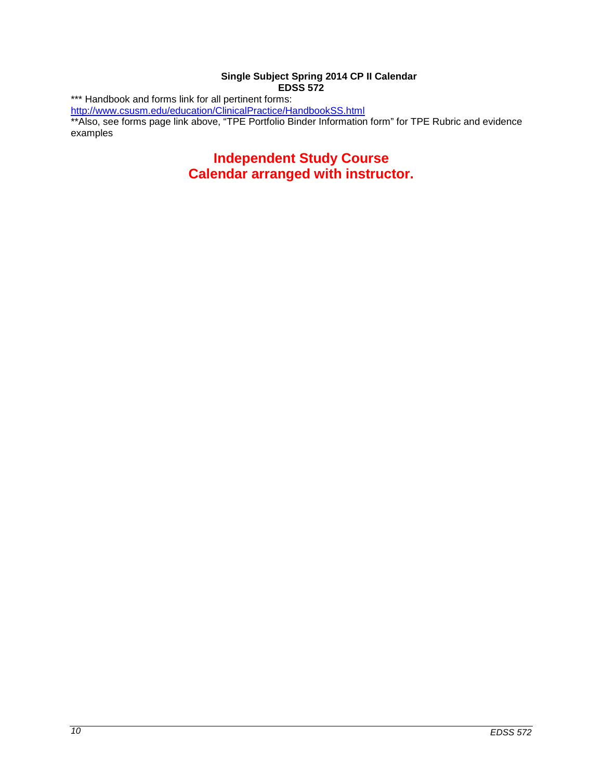## **Single Subject Spring 2014 CP II Calendar EDSS 572**

<span id="page-9-0"></span>\*\*\* Handbook and forms link for all pertinent forms:

<http://www.csusm.edu/education/ClinicalPractice/HandbookSS.html>

\*\*Also, see forms page link above, "TPE Portfolio Binder Information form" for TPE Rubric and evidence examples

# **Independent Study Course Calendar arranged with instructor.**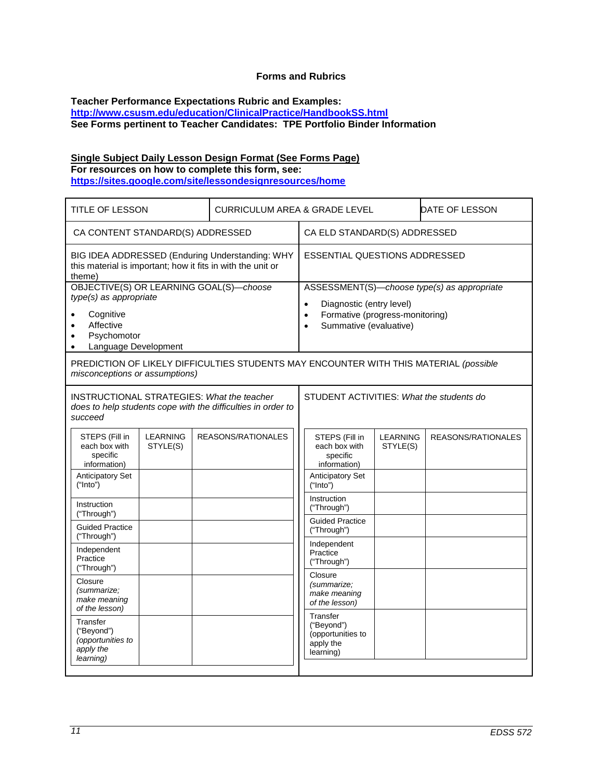## **Forms and Rubrics**

#### <span id="page-10-0"></span>**Teacher Performance Expectations Rubric and Examples: <http://www.csusm.edu/education/ClinicalPractice/HandbookSS.html> See Forms pertinent to Teacher Candidates: TPE Portfolio Binder Information**

## **Single Subject Daily Lesson Design Format (See Forms Page) For resources on how to complete this form, see:**

**<https://sites.google.com/site/lessondesignresources/home>**

| <b>TITLE OF LESSON</b>                                                                                                                                                                 |                             |  | <b>CURRICULUM AREA &amp; GRADE LEVEL</b>                                              |                                                                                                                                                                             |                                                                       | DATE OF LESSON              |                    |
|----------------------------------------------------------------------------------------------------------------------------------------------------------------------------------------|-----------------------------|--|---------------------------------------------------------------------------------------|-----------------------------------------------------------------------------------------------------------------------------------------------------------------------------|-----------------------------------------------------------------------|-----------------------------|--------------------|
| CA CONTENT STANDARD(S) ADDRESSED                                                                                                                                                       |                             |  | CA ELD STANDARD(S) ADDRESSED                                                          |                                                                                                                                                                             |                                                                       |                             |                    |
| BIG IDEA ADDRESSED (Enduring Understanding: WHY<br>this material is important; how it fits in with the unit or<br>theme)                                                               |                             |  | <b>ESSENTIAL QUESTIONS ADDRESSED</b>                                                  |                                                                                                                                                                             |                                                                       |                             |                    |
| OBJECTIVE(S) OR LEARNING GOAL(S)-choose<br>type(s) as appropriate<br>Cognitive<br>$\bullet$<br>Affective<br>$\bullet$<br>Psychomotor<br>$\bullet$<br>Language Development<br>$\bullet$ |                             |  |                                                                                       | ASSESSMENT(S)-choose type(s) as appropriate<br>Diagnostic (entry level)<br>$\bullet$<br>Formative (progress-monitoring)<br>$\bullet$<br>Summative (evaluative)<br>$\bullet$ |                                                                       |                             |                    |
| misconceptions or assumptions)                                                                                                                                                         |                             |  | PREDICTION OF LIKELY DIFFICULTIES STUDENTS MAY ENCOUNTER WITH THIS MATERIAL (possible |                                                                                                                                                                             |                                                                       |                             |                    |
| <b>INSTRUCTIONAL STRATEGIES: What the teacher</b><br>does to help students cope with the difficulties in order to<br>succeed                                                           |                             |  |                                                                                       | STUDENT ACTIVITIES: What the students do                                                                                                                                    |                                                                       |                             |                    |
| STEPS (Fill in<br>each box with<br>specific<br>information)                                                                                                                            | <b>LEARNING</b><br>STYLE(S) |  | REASONS/RATIONALES                                                                    |                                                                                                                                                                             | STEPS (Fill in<br>each box with<br>specific<br>information)           | <b>LEARNING</b><br>STYLE(S) | REASONS/RATIONALES |
| <b>Anticipatory Set</b><br>("Into")                                                                                                                                                    |                             |  |                                                                                       |                                                                                                                                                                             | Anticipatory Set<br>("Into")                                          |                             |                    |
| Instruction<br>("Through")                                                                                                                                                             |                             |  |                                                                                       |                                                                                                                                                                             | Instruction<br>("Through")                                            |                             |                    |
| <b>Guided Practice</b><br>("Through")                                                                                                                                                  |                             |  |                                                                                       |                                                                                                                                                                             | <b>Guided Practice</b><br>("Through")                                 |                             |                    |
| Independent<br>Practice<br>("Through")                                                                                                                                                 |                             |  |                                                                                       |                                                                                                                                                                             | Independent<br>Practice<br>("Through")                                |                             |                    |
| Closure<br>(summarize;<br>make meaning<br>of the lesson)                                                                                                                               |                             |  |                                                                                       |                                                                                                                                                                             | Closure<br>(summarize;<br>make meaning<br>of the lesson)              |                             |                    |
| Transfer<br>("Beyond")<br>(opportunities to<br>apply the<br>learning)                                                                                                                  |                             |  |                                                                                       |                                                                                                                                                                             | Transfer<br>("Beyond")<br>(opportunities to<br>apply the<br>learning) |                             |                    |
|                                                                                                                                                                                        |                             |  |                                                                                       |                                                                                                                                                                             |                                                                       |                             |                    |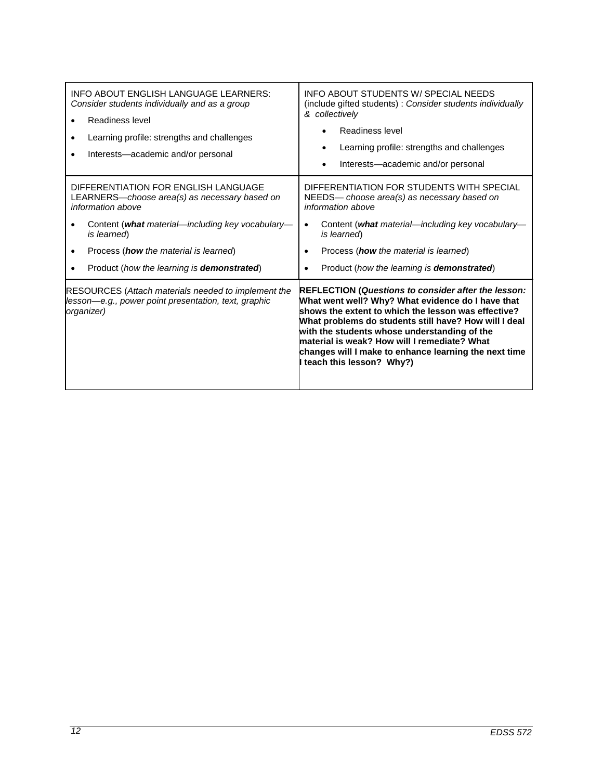| INFO ABOUT ENGLISH LANGUAGE LEARNERS:<br>Consider students individually and as a group<br>Readiness level<br>Learning profile: strengths and challenges<br>Interests-academic and/or personal                                                                                       | <b>INFO ABOUT STUDENTS W/ SPECIAL NEEDS</b><br>(include gifted students) : Consider students individually<br>& collectively<br>Readiness level<br>Learning profile: strengths and challenges<br>Interests-academic and/or personal                                                                                                                                                                                   |
|-------------------------------------------------------------------------------------------------------------------------------------------------------------------------------------------------------------------------------------------------------------------------------------|----------------------------------------------------------------------------------------------------------------------------------------------------------------------------------------------------------------------------------------------------------------------------------------------------------------------------------------------------------------------------------------------------------------------|
| DIFFERENTIATION FOR ENGLISH LANGUAGE<br>LEARNERS-choose area(s) as necessary based on<br>information above<br>Content (what material—including key vocabulary—<br>is learned)<br>Process ( <b>how</b> the material is learned)<br>Product (how the learning is <b>demonstrated)</b> | DIFFERENTIATION FOR STUDENTS WITH SPECIAL<br>NEEDS- choose area(s) as necessary based on<br>information above<br>Content (what material—including key vocabulary—<br>$\bullet$<br>is learned)<br>Process ( <b>how</b> the material is learned)<br>Product (how the learning is <b>demonstrated</b> )                                                                                                                 |
| <b>RESOURCES (Attach materials needed to implement the</b><br>lesson-e.g., power point presentation, text, graphic<br>organizer)                                                                                                                                                    | <b>REFLECTION (Questions to consider after the lesson:</b><br>What went well? Why? What evidence do I have that<br>shows the extent to which the lesson was effective?<br>What problems do students still have? How will I deal<br>with the students whose understanding of the<br>material is weak? How will I remediate? What<br>changes will I make to enhance learning the next time<br>teach this lesson? Why?) |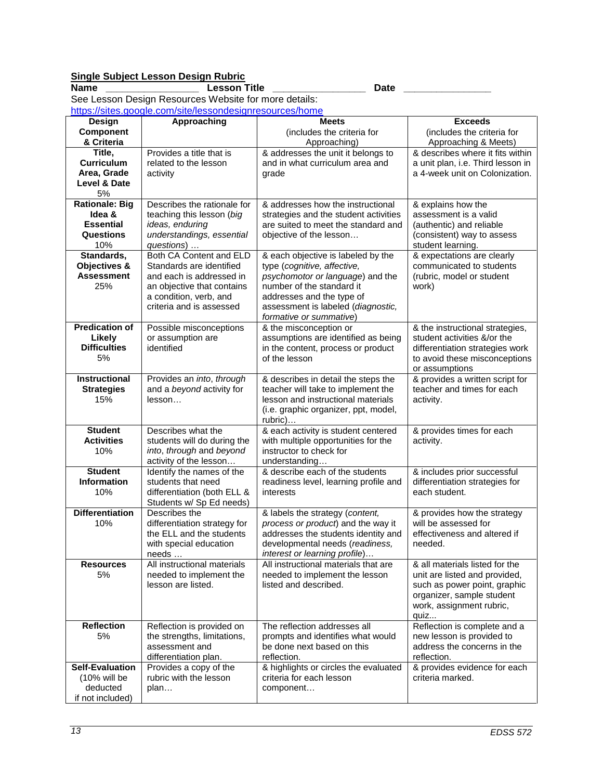# **Single Subject Lesson Design Rubric**

**Name \_\_\_\_\_\_\_\_\_\_\_\_\_\_\_\_\_ Lesson Title \_\_\_\_\_\_\_\_\_\_\_\_\_\_\_\_\_ Date \_\_\_\_\_\_\_\_\_\_\_\_\_\_\_\_** See Lesson Design Resources Website for more details: <https://sites.google.com/site/lessondesignresources/home>

| Design                      | Approaching                                             | <b>Meets</b>                                                             | <b>Exceeds</b>                    |
|-----------------------------|---------------------------------------------------------|--------------------------------------------------------------------------|-----------------------------------|
| Component                   |                                                         | (includes the criteria for                                               | (includes the criteria for        |
| & Criteria                  |                                                         | Approaching)                                                             | Approaching & Meets)              |
| Title,                      | Provides a title that is                                | & addresses the unit it belongs to                                       | & describes where it fits within  |
| <b>Curriculum</b>           | related to the lesson                                   | and in what curriculum area and                                          | a unit plan, i.e. Third lesson in |
| Area, Grade<br>Level & Date | activity                                                | grade                                                                    | a 4-week unit on Colonization.    |
| 5%                          |                                                         |                                                                          |                                   |
| <b>Rationale: Big</b>       | Describes the rationale for                             | & addresses how the instructional                                        | & explains how the                |
| Idea &                      | teaching this lesson (big                               | strategies and the student activities                                    | assessment is a valid             |
| <b>Essential</b>            | ideas, enduring                                         | are suited to meet the standard and                                      | (authentic) and reliable          |
| Questions                   | understandings, essential                               | objective of the lesson                                                  | (consistent) way to assess        |
| 10%                         | questions)                                              |                                                                          | student learning.                 |
| Standards,                  | Both CA Content and ELD                                 | & each objective is labeled by the                                       | & expectations are clearly        |
| Objectives &                | Standards are identified                                | type (cognitive, affective,                                              | communicated to students          |
| <b>Assessment</b>           | and each is addressed in                                | psychomotor or language) and the                                         | (rubric, model or student         |
| 25%                         | an objective that contains                              | number of the standard it                                                | work)                             |
|                             | a condition, verb, and<br>criteria and is assessed      | addresses and the type of<br>assessment is labeled (diagnostic,          |                                   |
|                             |                                                         | formative or summative)                                                  |                                   |
| <b>Predication of</b>       | Possible misconceptions                                 | & the misconception or                                                   | & the instructional strategies,   |
| Likely                      | or assumption are                                       | assumptions are identified as being                                      | student activities &/or the       |
| <b>Difficulties</b>         | identified                                              | in the content, process or product                                       | differentiation strategies work   |
| 5%                          |                                                         | of the lesson                                                            | to avoid these misconceptions     |
|                             |                                                         |                                                                          | or assumptions                    |
| <b>Instructional</b>        | Provides an into, through                               | & describes in detail the steps the                                      | & provides a written script for   |
| <b>Strategies</b><br>15%    | and a beyond activity for<br>lesson                     | teacher will take to implement the<br>lesson and instructional materials | teacher and times for each        |
|                             |                                                         | (i.e. graphic organizer, ppt, model,                                     | activity.                         |
|                             |                                                         | rubric)                                                                  |                                   |
| <b>Student</b>              | Describes what the                                      | & each activity is student centered                                      | & provides times for each         |
| <b>Activities</b>           | students will do during the                             | with multiple opportunities for the                                      | activity.                         |
| 10%                         | into, through and beyond                                | instructor to check for                                                  |                                   |
|                             | activity of the lesson                                  | understanding                                                            |                                   |
| <b>Student</b>              | Identify the names of the                               | & describe each of the students                                          | & includes prior successful       |
| Information                 | students that need                                      | readiness level, learning profile and                                    | differentiation strategies for    |
| 10%                         | differentiation (both ELL &<br>Students w/ Sp Ed needs) | interests                                                                | each student.                     |
| <b>Differentiation</b>      | Describes the                                           | & labels the strategy (content,                                          | & provides how the strategy       |
| 10%                         | differentiation strategy for                            | process or product) and the way it                                       | will be assessed for              |
|                             | the ELL and the students                                | addresses the students identity and                                      | effectiveness and altered if      |
|                             | with special education                                  | developmental needs (readiness,                                          | needed.                           |
|                             | needs                                                   | interest or learning profile)                                            |                                   |
| <b>Resources</b>            | All instructional materials                             | All instructional materials that are                                     | & all materials listed for the    |
| 5%                          | needed to implement the                                 | needed to implement the lesson                                           | unit are listed and provided,     |
|                             | lesson are listed.                                      | listed and described.                                                    | such as power point, graphic      |
|                             |                                                         |                                                                          | organizer, sample student         |
|                             |                                                         |                                                                          | work, assignment rubric,<br>quiz  |
| <b>Reflection</b>           | Reflection is provided on                               | The reflection addresses all                                             | Reflection is complete and a      |
| 5%                          | the strengths, limitations,                             | prompts and identifies what would                                        | new lesson is provided to         |
|                             | assessment and                                          | be done next based on this                                               | address the concerns in the       |
|                             | differentiation plan.                                   | reflection.                                                              | reflection.                       |
| <b>Self-Evaluation</b>      | Provides a copy of the                                  | & highlights or circles the evaluated                                    | & provides evidence for each      |
| $(10\%$ will be             | rubric with the lesson                                  | criteria for each lesson                                                 | criteria marked.                  |
| deducted                    | plan                                                    | component                                                                |                                   |
| if not included)            |                                                         |                                                                          |                                   |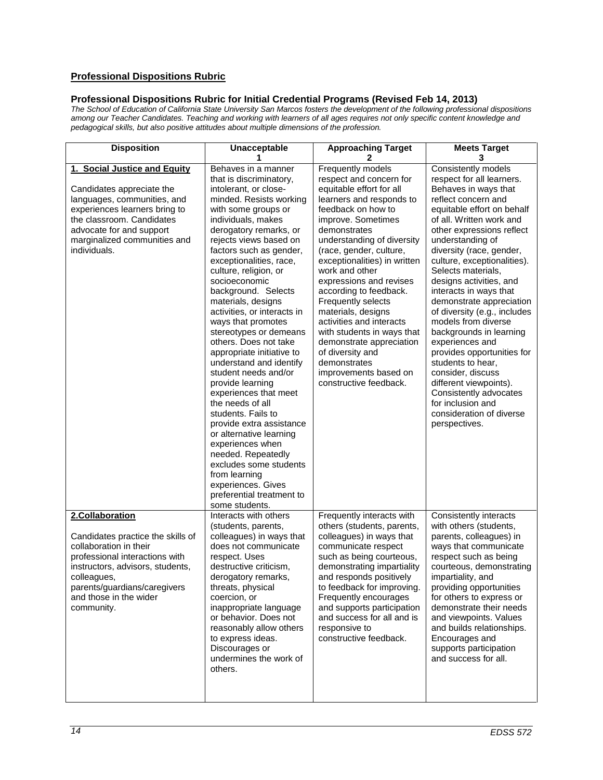## **Professional Dispositions Rubric**

## **Professional Dispositions Rubric for Initial Credential Programs (Revised Feb 14, 2013)**

*The School of Education of California State University San Marcos fosters the development of the following professional dispositions among our Teacher Candidates. Teaching and working with learners of all ages requires not only specific content knowledge and pedagogical skills, but also positive attitudes about multiple dimensions of the profession.* 

| <b>Disposition</b><br>Unacceptable<br>1                                                                                                                                                                                                     |                                                                                                                                                                                                                                                                                                                                                                                                                                                                                                                                                                                                                                                                                                                                                                                                                                                  | <b>Approaching Target</b><br>2                                                                                                                                                                                                                                                                                                                                                                                                                                                                                                                            | <b>Meets Target</b><br>3                                                                                                                                                                                                                                                                                                                                                                                                                                                                                                                                                                                                                                                        |  |
|---------------------------------------------------------------------------------------------------------------------------------------------------------------------------------------------------------------------------------------------|--------------------------------------------------------------------------------------------------------------------------------------------------------------------------------------------------------------------------------------------------------------------------------------------------------------------------------------------------------------------------------------------------------------------------------------------------------------------------------------------------------------------------------------------------------------------------------------------------------------------------------------------------------------------------------------------------------------------------------------------------------------------------------------------------------------------------------------------------|-----------------------------------------------------------------------------------------------------------------------------------------------------------------------------------------------------------------------------------------------------------------------------------------------------------------------------------------------------------------------------------------------------------------------------------------------------------------------------------------------------------------------------------------------------------|---------------------------------------------------------------------------------------------------------------------------------------------------------------------------------------------------------------------------------------------------------------------------------------------------------------------------------------------------------------------------------------------------------------------------------------------------------------------------------------------------------------------------------------------------------------------------------------------------------------------------------------------------------------------------------|--|
| 1. Social Justice and Equity<br>Candidates appreciate the<br>languages, communities, and<br>experiences learners bring to<br>the classroom. Candidates<br>advocate for and support<br>marginalized communities and<br>individuals.          | Behaves in a manner<br>that is discriminatory,<br>intolerant, or close-<br>minded. Resists working<br>with some groups or<br>individuals, makes<br>derogatory remarks, or<br>rejects views based on<br>factors such as gender,<br>exceptionalities, race,<br>culture, religion, or<br>socioeconomic<br>background. Selects<br>materials, designs<br>activities, or interacts in<br>ways that promotes<br>stereotypes or demeans<br>others. Does not take<br>appropriate initiative to<br>understand and identify<br>student needs and/or<br>provide learning<br>experiences that meet<br>the needs of all<br>students. Fails to<br>provide extra assistance<br>or alternative learning<br>experiences when<br>needed. Repeatedly<br>excludes some students<br>from learning<br>experiences. Gives<br>preferential treatment to<br>some students. | Frequently models<br>respect and concern for<br>equitable effort for all<br>learners and responds to<br>feedback on how to<br>improve. Sometimes<br>demonstrates<br>understanding of diversity<br>(race, gender, culture,<br>exceptionalities) in written<br>work and other<br>expressions and revises<br>according to feedback.<br>Frequently selects<br>materials, designs<br>activities and interacts<br>with students in ways that<br>demonstrate appreciation<br>of diversity and<br>demonstrates<br>improvements based on<br>constructive feedback. | Consistently models<br>respect for all learners.<br>Behaves in ways that<br>reflect concern and<br>equitable effort on behalf<br>of all. Written work and<br>other expressions reflect<br>understanding of<br>diversity (race, gender,<br>culture, exceptionalities).<br>Selects materials,<br>designs activities, and<br>interacts in ways that<br>demonstrate appreciation<br>of diversity (e.g., includes<br>models from diverse<br>backgrounds in learning<br>experiences and<br>provides opportunities for<br>students to hear.<br>consider, discuss<br>different viewpoints).<br>Consistently advocates<br>for inclusion and<br>consideration of diverse<br>perspectives. |  |
| 2.Collaboration<br>Candidates practice the skills of<br>collaboration in their<br>professional interactions with<br>instructors, advisors, students,<br>colleagues,<br>parents/guardians/caregivers<br>and those in the wider<br>community. | Interacts with others<br>(students, parents,<br>colleagues) in ways that<br>does not communicate<br>respect. Uses<br>destructive criticism,<br>derogatory remarks,<br>threats, physical<br>coercion, or<br>inappropriate language<br>or behavior. Does not<br>reasonably allow others<br>to express ideas.<br>Discourages or<br>undermines the work of<br>others.                                                                                                                                                                                                                                                                                                                                                                                                                                                                                | Frequently interacts with<br>others (students, parents,<br>colleagues) in ways that<br>communicate respect<br>such as being courteous,<br>demonstrating impartiality<br>and responds positively<br>to feedback for improving.<br>Frequently encourages<br>and supports participation<br>and success for all and is<br>responsive to<br>constructive feedback.                                                                                                                                                                                             | Consistently interacts<br>with others (students,<br>parents, colleagues) in<br>ways that communicate<br>respect such as being<br>courteous, demonstrating<br>impartiality, and<br>providing opportunities<br>for others to express or<br>demonstrate their needs<br>and viewpoints. Values<br>and builds relationships.<br>Encourages and<br>supports participation<br>and success for all.                                                                                                                                                                                                                                                                                     |  |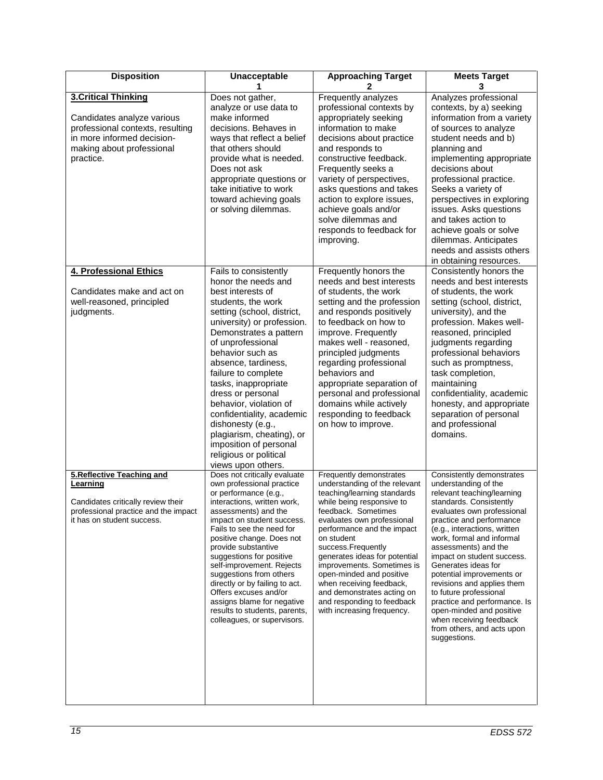| <b>Disposition</b><br>Unacceptable                                                                                                                                   |                                                                                                                                                                                                                                                                                                                                                                                                                                                                                                       | <b>Approaching Target</b>                                                                                                                                                                                                                                                                                                                                                                                                                                    | <b>Meets Target</b>                                                                                                                                                                                                                                                                                                                                                                                                                                                                                                                      |
|----------------------------------------------------------------------------------------------------------------------------------------------------------------------|-------------------------------------------------------------------------------------------------------------------------------------------------------------------------------------------------------------------------------------------------------------------------------------------------------------------------------------------------------------------------------------------------------------------------------------------------------------------------------------------------------|--------------------------------------------------------------------------------------------------------------------------------------------------------------------------------------------------------------------------------------------------------------------------------------------------------------------------------------------------------------------------------------------------------------------------------------------------------------|------------------------------------------------------------------------------------------------------------------------------------------------------------------------------------------------------------------------------------------------------------------------------------------------------------------------------------------------------------------------------------------------------------------------------------------------------------------------------------------------------------------------------------------|
| <b>3.Critical Thinking</b><br>Candidates analyze various<br>professional contexts, resulting<br>in more informed decision-<br>making about professional<br>practice. | Does not gather,<br>analyze or use data to<br>make informed<br>decisions. Behaves in<br>ways that reflect a belief<br>that others should<br>provide what is needed.<br>Does not ask<br>appropriate questions or<br>take initiative to work<br>toward achieving goals<br>or solving dilemmas.                                                                                                                                                                                                          | Frequently analyzes<br>professional contexts by<br>appropriately seeking<br>information to make<br>decisions about practice<br>and responds to<br>constructive feedback.<br>Frequently seeks a<br>variety of perspectives,<br>asks questions and takes<br>action to explore issues,<br>achieve goals and/or<br>solve dilemmas and<br>responds to feedback for<br>improving.                                                                                  | Analyzes professional<br>contexts, by a) seeking<br>information from a variety<br>of sources to analyze<br>student needs and b)<br>planning and<br>implementing appropriate<br>decisions about<br>professional practice.<br>Seeks a variety of<br>perspectives in exploring<br>issues. Asks questions<br>and takes action to<br>achieve goals or solve<br>dilemmas. Anticipates<br>needs and assists others                                                                                                                              |
| 4. Professional Ethics<br>Candidates make and act on<br>well-reasoned, principled<br>judgments.                                                                      | Fails to consistently<br>honor the needs and<br>best interests of<br>students, the work<br>setting (school, district,<br>university) or profession.<br>Demonstrates a pattern<br>of unprofessional<br>behavior such as<br>absence, tardiness,<br>failure to complete<br>tasks, inappropriate<br>dress or personal<br>behavior, violation of<br>confidentiality, academic<br>dishonesty (e.g.,<br>plagiarism, cheating), or<br>imposition of personal<br>religious or political<br>views upon others.  | Frequently honors the<br>needs and best interests<br>of students, the work<br>setting and the profession<br>and responds positively<br>to feedback on how to<br>improve. Frequently<br>makes well - reasoned,<br>principled judgments<br>regarding professional<br>behaviors and<br>appropriate separation of<br>personal and professional<br>domains while actively<br>responding to feedback<br>on how to improve.                                         | in obtaining resources.<br>Consistently honors the<br>needs and best interests<br>of students, the work<br>setting (school, district,<br>university), and the<br>profession. Makes well-<br>reasoned, principled<br>judgments regarding<br>professional behaviors<br>such as promptness,<br>task completion,<br>maintaining<br>confidentiality, academic<br>honesty, and appropriate<br>separation of personal<br>and professional<br>domains.                                                                                           |
| 5. Reflective Teaching and<br>Learning<br>Candidates critically review their<br>professional practice and the impact<br>it has on student success.                   | Does not critically evaluate<br>own professional practice<br>or performance (e.g.,<br>interactions, written work,<br>assessments) and the<br>impact on student success.<br>Fails to see the need for<br>positive change. Does not<br>provide substantive<br>suggestions for positive<br>self-improvement. Rejects<br>suggestions from others<br>directly or by failing to act.<br>Offers excuses and/or<br>assigns blame for negative<br>results to students, parents,<br>colleagues, or supervisors. | Frequently demonstrates<br>understanding of the relevant<br>teaching/learning standards<br>while being responsive to<br>feedback. Sometimes<br>evaluates own professional<br>performance and the impact<br>on student<br>success.Frequently<br>generates ideas for potential<br>improvements. Sometimes is<br>open-minded and positive<br>when receiving feedback,<br>and demonstrates acting on<br>and responding to feedback<br>with increasing frequency. | Consistently demonstrates<br>understanding of the<br>relevant teaching/learning<br>standards. Consistently<br>evaluates own professional<br>practice and performance<br>(e.g., interactions, written<br>work, formal and informal<br>assessments) and the<br>impact on student success.<br>Generates ideas for<br>potential improvements or<br>revisions and applies them<br>to future professional<br>practice and performance. Is<br>open-minded and positive<br>when receiving feedback<br>from others, and acts upon<br>suggestions. |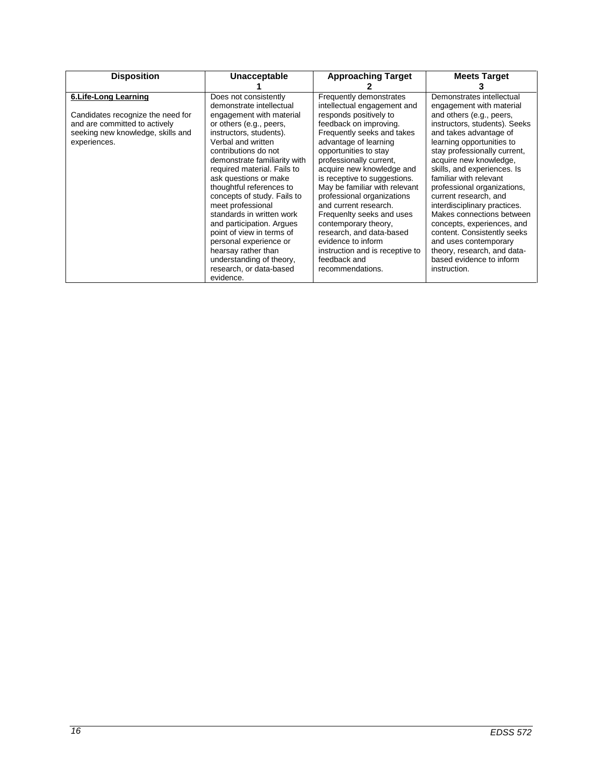| <b>Disposition</b>                | Unacceptable                 | <b>Approaching Target</b>                          | <b>Meets Target</b>           |  |
|-----------------------------------|------------------------------|----------------------------------------------------|-------------------------------|--|
|                                   |                              |                                                    |                               |  |
| 6. Life-Long Learning             | Does not consistently        | Frequently demonstrates                            | Demonstrates intellectual     |  |
|                                   | demonstrate intellectual     | intellectual engagement and                        | engagement with material      |  |
| Candidates recognize the need for | engagement with material     | responds positively to                             | and others (e.g., peers,      |  |
| and are committed to actively     | or others (e.g., peers,      | feedback on improving.                             | instructors, students). Seeks |  |
| seeking new knowledge, skills and | instructors, students).      | Frequently seeks and takes                         | and takes advantage of        |  |
| experiences.                      | Verbal and written           | advantage of learning                              | learning opportunities to     |  |
|                                   | contributions do not         | opportunities to stay                              | stay professionally current,  |  |
|                                   | demonstrate familiarity with | professionally current,                            | acquire new knowledge,        |  |
|                                   | required material. Fails to  | acquire new knowledge and                          | skills, and experiences. Is   |  |
|                                   | ask questions or make        | is receptive to suggestions.                       | familiar with relevant        |  |
|                                   | thoughtful references to     |                                                    | professional organizations,   |  |
|                                   | concepts of study. Fails to  |                                                    | current research, and         |  |
|                                   | meet professional            | and current research.<br>Frequenity seeks and uses | interdisciplinary practices.  |  |
|                                   | standards in written work    |                                                    | Makes connections between     |  |
| and participation. Argues         |                              | contemporary theory,                               | concepts, experiences, and    |  |
| point of view in terms of         |                              | research, and data-based                           | content. Consistently seeks   |  |
|                                   | personal experience or       | evidence to inform                                 | and uses contemporary         |  |
|                                   | hearsay rather than          | instruction and is receptive to                    | theory, research, and data-   |  |
|                                   | understanding of theory,     | feedback and                                       | based evidence to inform      |  |
|                                   | research, or data-based      | recommendations.                                   | instruction.                  |  |
|                                   | evidence.                    |                                                    |                               |  |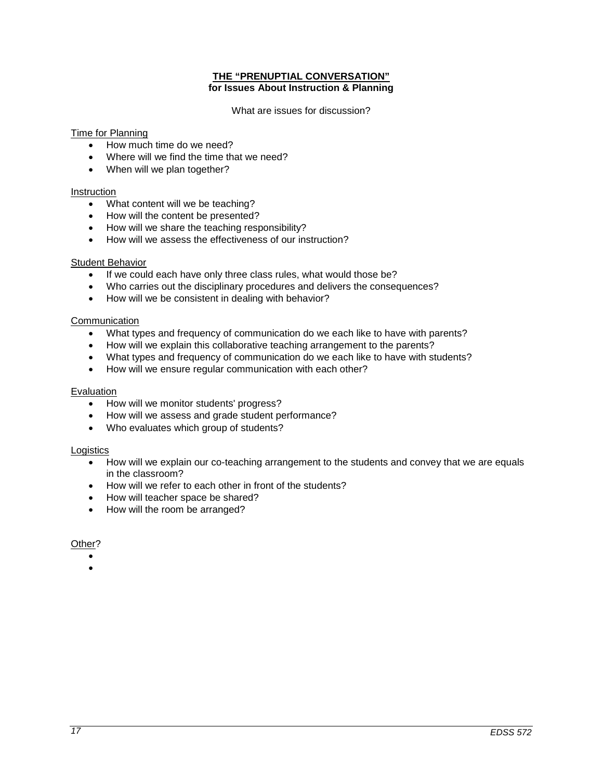## **THE "PRENUPTIAL CONVERSATION" for Issues About Instruction & Planning**

What are issues for discussion?

## Time for Planning

- How much time do we need?
- Where will we find the time that we need?
- When will we plan together?

#### Instruction

- What content will we be teaching?
- How will the content be presented?
- How will we share the teaching responsibility?
- How will we assess the effectiveness of our instruction?

## Student Behavior

- If we could each have only three class rules, what would those be?
- Who carries out the disciplinary procedures and delivers the consequences?
- How will we be consistent in dealing with behavior?

## Communication

- What types and frequency of communication do we each like to have with parents?
- How will we explain this collaborative teaching arrangement to the parents?
- What types and frequency of communication do we each like to have with students?
- How will we ensure regular communication with each other?

#### Evaluation

- How will we monitor students' progress?
- How will we assess and grade student performance?
- Who evaluates which group of students?

## **Logistics**

- How will we explain our co-teaching arrangement to the students and convey that we are equals in the classroom?
- How will we refer to each other in front of the students?
- How will teacher space be shared?
- How will the room be arranged?

## Other?

- •
- •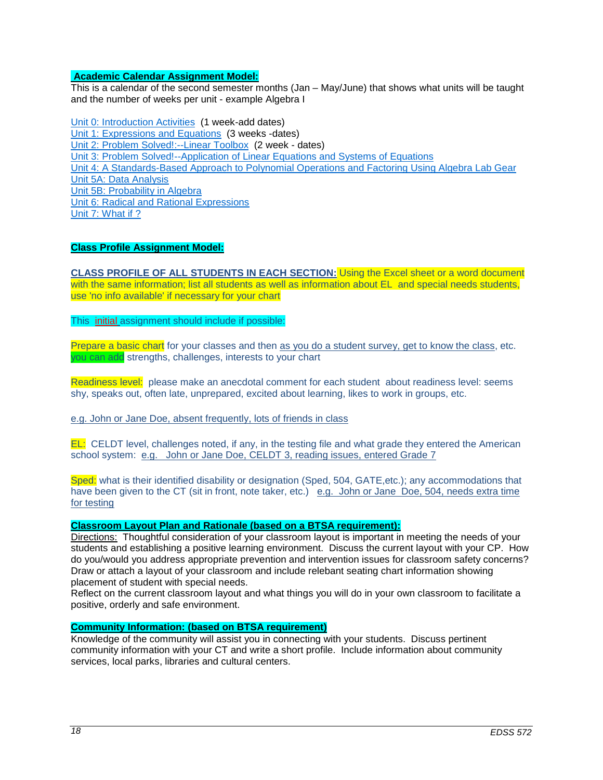## **Academic Calendar Assignment Model:**

This is a calendar of the second semester months (Jan – May/June) that shows what units will be taught and the number of weeks per unit - example Algebra I

Unit 0: [Introduction Activities](http://wveis.k12.wv.us/teach21/public/Uplans/UPview.cfm?action=V1&tsele1=2&tsele2=116&tsele3i=573) (1 week-add dates) [Unit 1: Expressions and Equations](http://wveis.k12.wv.us/teach21/public/Uplans/UPview.cfm?action=V1&tsele1=2&tsele2=116&tsele3i=570) (3 weeks -dates) [Unit 2: Problem Solved!:--Linear Toolbox](http://wveis.k12.wv.us/teach21/public/Uplans/UPview.cfm?action=V1&tsele1=2&tsele2=116&tsele3i=572) (2 week - dates) [Unit 3: Problem Solved!--Application of Linear Equations and Systems of Equations](http://wveis.k12.wv.us/teach21/public/Uplans/UPview.cfm?action=V1&tsele1=2&tsele2=116&tsele3i=566) [Unit 4: A Standards-Based Approach to Polynomial Operations and Factoring Using Algebra Lab Gear](http://wveis.k12.wv.us/teach21/public/Uplans/UPview.cfm?action=V1&tsele1=2&tsele2=116&tsele3i=569) [Unit 5A: Data Analysis](http://wveis.k12.wv.us/teach21/public/Uplans/UPview.cfm?action=V1&tsele1=2&tsele2=116&tsele3i=567) [Unit 5B: Probability in Algebra](http://wveis.k12.wv.us/teach21/public/Uplans/UPview.cfm?action=V1&tsele1=2&tsele2=116&tsele3i=565) [Unit 6: Radical and Rational Expressions](http://wveis.k12.wv.us/teach21/public/Uplans/UPview.cfm?action=V1&tsele1=2&tsele2=116&tsele3i=568) Unit 7: What if ?

## **Class Profile Assignment Model:**

**CLASS PROFILE OF ALL STUDENTS IN EACH SECTION:** Using the Excel sheet or a word document with the same information; list all students as well as information about EL and special needs students, use 'no info available' if necessary for your chart

This initial assignment should include if possible:

Prepare a basic chart for your classes and then as you do a student survey, get to know the class, etc. you can add strengths, challenges, interests to your chart

Readiness level: please make an anecdotal comment for each student about readiness level: seems shy, speaks out, often late, unprepared, excited about learning, likes to work in groups, etc.

## e.g. John or Jane Doe, absent frequently, lots of friends in class

EL: CELDT level, challenges noted, if any, in the testing file and what grade they entered the American school system: e.g. John or Jane Doe, CELDT 3, reading issues, entered Grade 7

Sped: what is their identified disability or designation (Sped, 504, GATE,etc.); any accommodations that have been given to the CT (sit in front, note taker, etc.) e.g. John or Jane Doe, 504, needs extra time for testing

## **Classroom Layout Plan and Rationale (based on a BTSA requirement):**

Directions: Thoughtful consideration of your classroom layout is important in meeting the needs of your students and establishing a positive learning environment. Discuss the current layout with your CP. How do you/would you address appropriate prevention and intervention issues for classroom safety concerns? Draw or attach a layout of your classroom and include relebant seating chart information showing placement of student with special needs.

Reflect on the current classroom layout and what things you will do in your own classroom to facilitate a positive, orderly and safe environment.

#### **Community Information: (based on BTSA requirement)**

Knowledge of the community will assist you in connecting with your students. Discuss pertinent community information with your CT and write a short profile. Include information about community services, local parks, libraries and cultural centers.